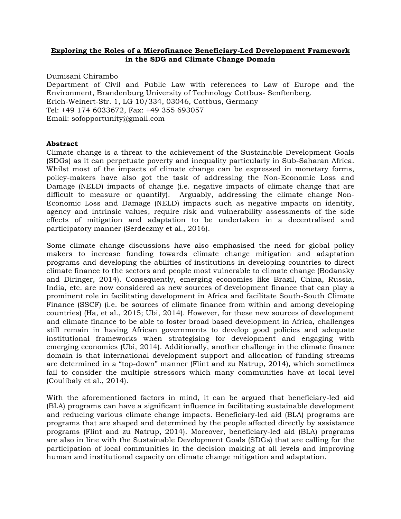## **Exploring the Roles of a Microfinance Beneficiary-Led Development Framework in the SDG and Climate Change Domain**

Dumisani Chirambo Department of Civil and Public Law with references to Law of Europe and the Environment, Brandenburg University of Technology Cottbus- Senftenberg. Erich-Weinert-Str. 1, LG 10/334, 03046, Cottbus, Germany Tel: +49 174 6033672, Fax: +49 355 693057 Email: sofopportunity@gmail.com

## **Abstract**

Climate change is a threat to the achievement of the Sustainable Development Goals (SDGs) as it can perpetuate poverty and inequality particularly in Sub-Saharan Africa. Whilst most of the impacts of climate change can be expressed in monetary forms, policy-makers have also got the task of addressing the Non-Economic Loss and Damage (NELD) impacts of change (i.e. negative impacts of climate change that are difficult to measure or quantify). Arguably, addressing the climate change Non-Economic Loss and Damage (NELD) impacts such as negative impacts on identity, agency and intrinsic values, require risk and vulnerability assessments of the side effects of mitigation and adaptation to be undertaken in a decentralised and participatory manner (Serdeczmy et al., 2016).

Some climate change discussions have also emphasised the need for global policy makers to increase funding towards climate change mitigation and adaptation programs and developing the abilities of institutions in developing countries to direct climate finance to the sectors and people most vulnerable to climate change (Bodansky and Diringer, 2014). Consequently, emerging economies like Brazil, China, Russia, India, etc. are now considered as new sources of development finance that can play a prominent role in facilitating development in Africa and facilitate South-South Climate Finance (SSCF) (i.e. be sources of climate finance from within and among developing countries) (Ha, et al., 2015; Ubi, 2014). However, for these new sources of development and climate finance to be able to foster broad based development in Africa, challenges still remain in having African governments to develop good policies and adequate institutional frameworks when strategising for development and engaging with emerging economies (Ubi, 2014). Additionally, another challenge in the climate finance domain is that international development support and allocation of funding streams are determined in a "top-down" manner (Flint and zu Natrup, 2014), which sometimes fail to consider the multiple stressors which many communities have at local level (Coulibaly et al., 2014).

With the aforementioned factors in mind, it can be argued that beneficiary-led aid (BLA) programs can have a significant influence in facilitating sustainable development and reducing various climate change impacts. Beneficiary-led aid (BLA) programs are programs that are shaped and determined by the people affected directly by assistance programs (Flint and zu Natrup, 2014). Moreover, beneficiary-led aid (BLA) programs are also in line with the Sustainable Development Goals (SDGs) that are calling for the participation of local communities in the decision making at all levels and improving human and institutional capacity on climate change mitigation and adaptation.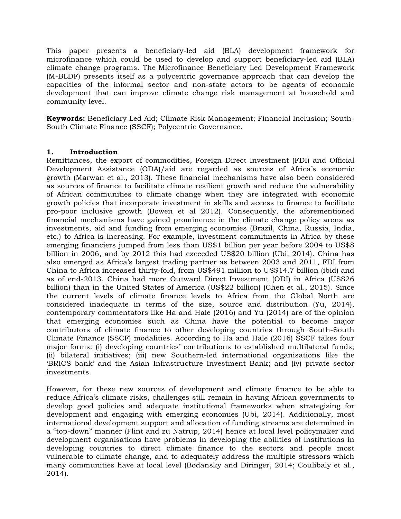This paper presents a beneficiary-led aid (BLA) development framework for microfinance which could be used to develop and support beneficiary-led aid (BLA) climate change programs. The Microfinance Beneficiary Led Development Framework (M-BLDF) presents itself as a polycentric governance approach that can develop the capacities of the informal sector and non-state actors to be agents of economic development that can improve climate change risk management at household and community level.

**Keywords:** Beneficiary Led Aid; Climate Risk Management; Financial Inclusion; South-South Climate Finance (SSCF); Polycentric Governance.

## **1. Introduction**

Remittances, the export of commodities, Foreign Direct Investment (FDI) and Official Development Assistance (ODA)/aid are regarded as sources of Africa's economic growth (Marwan et al., 2013). These financial mechanisms have also been considered as sources of finance to facilitate climate resilient growth and reduce the vulnerability of African communities to climate change when they are integrated with economic growth policies that incorporate investment in skills and access to finance to facilitate pro-poor inclusive growth (Bowen et al 2012). Consequently, the aforementioned financial mechanisms have gained prominence in the climate change policy arena as investments, aid and funding from emerging economies (Brazil, China, Russia, India, etc.) to Africa is increasing. For example, investment commitments in Africa by these emerging financiers jumped from less than US\$1 billion per year before 2004 to US\$8 billion in 2006, and by 2012 this had exceeded US\$20 billion (Ubi, 2014). China has also emerged as Africa's largest trading partner as between 2003 and 2011, FDI from China to Africa increased thirty-fold, from US\$491 million to US\$14.7 billion (ibid) and as of end-2013, China had more Outward Direct Investment (ODI) in Africa (US\$26 billion) than in the United States of America (US\$22 billion) (Chen et al., 2015). Since the current levels of climate finance levels to Africa from the Global North are considered inadequate in terms of the size, source and distribution (Yu, 2014), contemporary commentators like Ha and Hale (2016) and Yu (2014) are of the opinion that emerging economies such as China have the potential to become major contributors of climate finance to other developing countries through South-South Climate Finance (SSCF) modalities. According to Ha and Hale (2016) SSCF takes four major forms: (i) developing countries' contributions to established multilateral funds; (ii) bilateral initiatives; (iii) new Southern-led international organisations like the 'BRICS bank' and the Asian Infrastructure Investment Bank; and (iv) private sector investments.

However, for these new sources of development and climate finance to be able to reduce Africa's climate risks, challenges still remain in having African governments to develop good policies and adequate institutional frameworks when strategising for development and engaging with emerging economies (Ubi, 2014). Additionally, most international development support and allocation of funding streams are determined in a "top-down" manner (Flint and zu Natrup, 2014) hence at local level policymaker and development organisations have problems in developing the abilities of institutions in developing countries to direct climate finance to the sectors and people most vulnerable to climate change, and to adequately address the multiple stressors which many communities have at local level (Bodansky and Diringer, 2014; Coulibaly et al., 2014).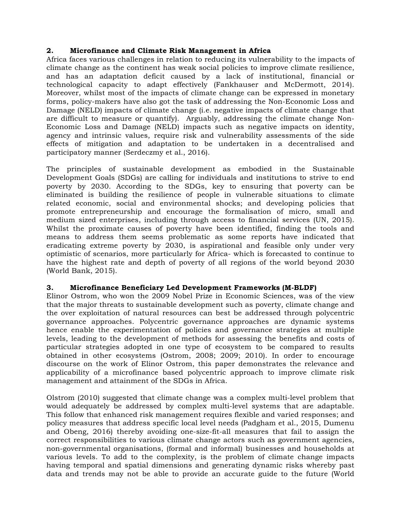## **2. Microfinance and Climate Risk Management in Africa**

Africa faces various challenges in relation to reducing its vulnerability to the impacts of climate change as the continent has weak social policies to improve climate resilience, and has an adaptation deficit caused by a lack of institutional, financial or technological capacity to adapt effectively (Fankhauser and McDermott, 2014). Moreover, whilst most of the impacts of climate change can be expressed in monetary forms, policy-makers have also got the task of addressing the Non-Economic Loss and Damage (NELD) impacts of climate change (i.e. negative impacts of climate change that are difficult to measure or quantify). Arguably, addressing the climate change Non-Economic Loss and Damage (NELD) impacts such as negative impacts on identity, agency and intrinsic values, require risk and vulnerability assessments of the side effects of mitigation and adaptation to be undertaken in a decentralised and participatory manner (Serdeczmy et al., 2016).

The principles of sustainable development as embodied in the Sustainable Development Goals (SDGs) are calling for individuals and institutions to strive to end poverty by 2030. According to the SDGs, key to ensuring that poverty can be eliminated is building the resilience of people in vulnerable situations to climate related economic, social and environmental shocks; and developing policies that promote entrepreneurship and encourage the formalisation of micro, small and medium sized enterprises, including through access to financial services (UN, 2015). Whilst the proximate causes of poverty have been identified, finding the tools and means to address them seems problematic as some reports have indicated that eradicating extreme poverty by 2030, is aspirational and feasible only under very optimistic of scenarios, more particularly for Africa- which is forecasted to continue to have the highest rate and depth of poverty of all regions of the world beyond 2030 (World Bank, 2015).

## **3. Microfinance Beneficiary Led Development Frameworks (M-BLDF)**

Elinor Ostrom, who won the 2009 Nobel Prize in Economic Sciences, was of the view that the major threats to sustainable development such as poverty, climate change and the over exploitation of natural resources can best be addressed through polycentric governance approaches. Polycentric governance approaches are dynamic systems hence enable the experimentation of policies and governance strategies at multiple levels, leading to the development of methods for assessing the benefits and costs of particular strategies adopted in one type of ecosystem to be compared to results obtained in other ecosystems (Ostrom, 2008; 2009; 2010). In order to encourage discourse on the work of Elinor Ostrom, this paper demonstrates the relevance and applicability of a microfinance based polycentric approach to improve climate risk management and attainment of the SDGs in Africa.

Olstrom (2010) suggested that climate change was a complex multi-level problem that would adequately be addressed by complex multi-level systems that are adaptable. This follow that enhanced risk management requires flexible and varied responses; and policy measures that address specific local level needs (Padgham et al., 2015, Dumenu and Obeng, 2016) thereby avoiding one-size-fit-all measures that fail to assign the correct responsibilities to various climate change actors such as government agencies, non-governmental organisations, (formal and informal) businesses and households at various levels. To add to the complexity, is the problem of climate change impacts having temporal and spatial dimensions and generating dynamic risks whereby past data and trends may not be able to provide an accurate guide to the future (World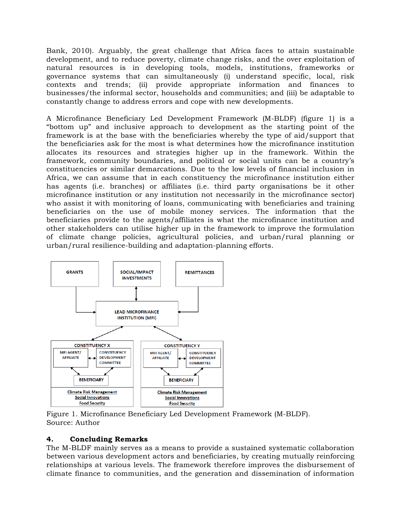Bank, 2010). Arguably, the great challenge that Africa faces to attain sustainable development, and to reduce poverty, climate change risks, and the over exploitation of natural resources is in developing tools, models, institutions, frameworks or governance systems that can simultaneously (i) understand specific, local, risk contexts and trends; (ii) provide appropriate information and finances to businesses/the informal sector, households and communities; and (iii) be adaptable to constantly change to address errors and cope with new developments.

A Microfinance Beneficiary Led Development Framework (M-BLDF) (figure 1) is a "bottom up" and inclusive approach to development as the starting point of the framework is at the base with the beneficiaries whereby the type of aid/support that the beneficiaries ask for the most is what determines how the microfinance institution allocates its resources and strategies higher up in the framework. Within the framework, community boundaries, and political or social units can be a country's constituencies or similar demarcations. Due to the low levels of financial inclusion in Africa, we can assume that in each constituency the microfinance institution either has agents (i.e. branches) or affiliates (i.e. third party organisations be it other microfinance institution or any institution not necessarily in the microfinance sector) who assist it with monitoring of loans, communicating with beneficiaries and training beneficiaries on the use of mobile money services. The information that the beneficiaries provide to the agents/affiliates is what the microfinance institution and other stakeholders can utilise higher up in the framework to improve the formulation of climate change policies, agricultural policies, and urban/rural planning or urban/rural resilience-building and adaptation-planning efforts.



Figure 1. Microfinance Beneficiary Led Development Framework (M-BLDF). Source: Author

# **4. Concluding Remarks**

The M-BLDF mainly serves as a means to provide a sustained systematic collaboration between various development actors and beneficiaries, by creating mutually reinforcing relationships at various levels. The framework therefore improves the disbursement of climate finance to communities, and the generation and dissemination of information